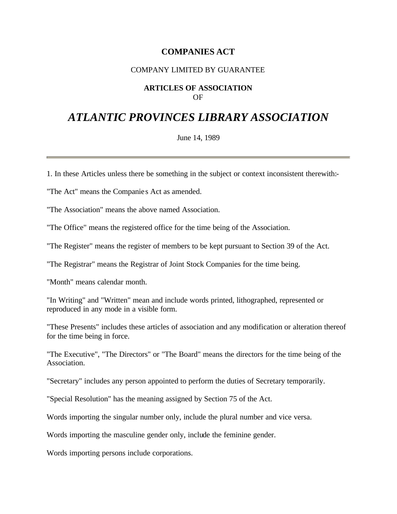# **COMPANIES ACT**

### COMPANY LIMITED BY GUARANTEE

#### **ARTICLES OF ASSOCIATION** OF

# *ATLANTIC PROVINCES LIBRARY ASSOCIATION*

June 14, 1989

1. In these Articles unless there be something in the subject or context inconsistent therewith:-

"The Act" means the Companie s Act as amended.

"The Association" means the above named Association.

"The Office" means the registered office for the time being of the Association.

"The Register" means the register of members to be kept pursuant to Section 39 of the Act.

"The Registrar" means the Registrar of Joint Stock Companies for the time being.

"Month" means calendar month.

"In Writing" and "Written" mean and include words printed, lithographed, represented or reproduced in any mode in a visible form.

"These Presents" includes these articles of association and any modification or alteration thereof for the time being in force.

"The Executive", "The Directors" or "The Board" means the directors for the time being of the Association.

"Secretary" includes any person appointed to perform the duties of Secretary temporarily.

"Special Resolution" has the meaning assigned by Section 75 of the Act.

Words importing the singular number only, include the plural number and vice versa.

Words importing the masculine gender only, include the feminine gender.

Words importing persons include corporations.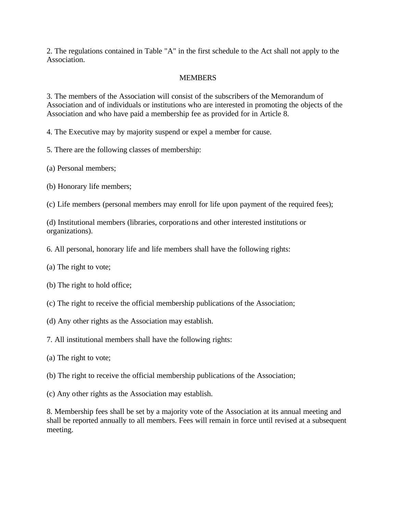2. The regulations contained in Table "A" in the first schedule to the Act shall not apply to the Association.

### **MEMBERS**

3. The members of the Association will consist of the subscribers of the Memorandum of Association and of individuals or institutions who are interested in promoting the objects of the Association and who have paid a membership fee as provided for in Article 8.

4. The Executive may by majority suspend or expel a member for cause.

5. There are the following classes of membership:

(a) Personal members;

(b) Honorary life members;

(c) Life members (personal members may enroll for life upon payment of the required fees);

(d) Institutional members (libraries, corporations and other interested institutions or organizations).

6. All personal, honorary life and life members shall have the following rights:

(a) The right to vote;

(b) The right to hold office;

(c) The right to receive the official membership publications of the Association;

(d) Any other rights as the Association may establish.

7. All institutional members shall have the following rights:

(a) The right to vote;

(b) The right to receive the official membership publications of the Association;

(c) Any other rights as the Association may establish.

8. Membership fees shall be set by a majority vote of the Association at its annual meeting and shall be reported annually to all members. Fees will remain in force until revised at a subsequent meeting.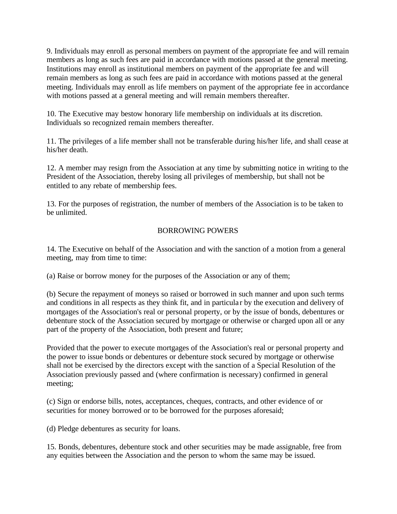9. Individuals may enroll as personal members on payment of the appropriate fee and will remain members as long as such fees are paid in accordance with motions passed at the general meeting. Institutions may enroll as institutional members on payment of the appropriate fee and will remain members as long as such fees are paid in accordance with motions passed at the general meeting. Individuals may enroll as life members on payment of the appropriate fee in accordance with motions passed at a general meeting and will remain members thereafter.

10. The Executive may bestow honorary life membership on individuals at its discretion. Individuals so recognized remain members thereafter.

11. The privileges of a life member shall not be transferable during his/her life, and shall cease at his/her death.

12. A member may resign from the Association at any time by submitting notice in writing to the President of the Association, thereby losing all privileges of membership, but shall not be entitled to any rebate of membership fees.

13. For the purposes of registration, the number of members of the Association is to be taken to be unlimited.

# BORROWING POWERS

14. The Executive on behalf of the Association and with the sanction of a motion from a general meeting, may from time to time:

(a) Raise or borrow money for the purposes of the Association or any of them;

(b) Secure the repayment of moneys so raised or borrowed in such manner and upon such terms and conditions in all respects as they think fit, and in particular by the execution and delivery of mortgages of the Association's real or personal property, or by the issue of bonds, debentures or debenture stock of the Association secured by mortgage or otherwise or charged upon all or any part of the property of the Association, both present and future;

Provided that the power to execute mortgages of the Association's real or personal property and the power to issue bonds or debentures or debenture stock secured by mortgage or otherwise shall not be exercised by the directors except with the sanction of a Special Resolution of the Association previously passed and (where confirmation is necessary) confirmed in general meeting;

(c) Sign or endorse bills, notes, acceptances, cheques, contracts, and other evidence of or securities for money borrowed or to be borrowed for the purposes aforesaid;

(d) Pledge debentures as security for loans.

15. Bonds, debentures, debenture stock and other securities may be made assignable, free from any equities between the Association and the person to whom the same may be issued.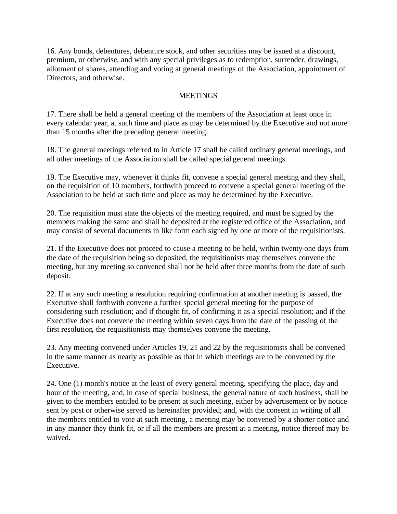16. Any bonds, debentures, debenture stock, and other securities may be issued at a discount, premium, or otherwise, and with any special privileges as to redemption, surrender, drawings, allotment of shares, attending and voting at general meetings of the Association, appointment of Directors, and otherwise.

### **MEETINGS**

17. There shall be held a general meeting of the members of the Association at least once in every calendar year, at such time and place as may be determined by the Executive and not more than 15 months after the preceding general meeting.

18. The general meetings referred to in Article 17 shall be called ordinary general meetings, and all other meetings of the Association shall be called special general meetings.

19. The Executive may, whenever it thinks fit, convene a special general meeting and they shall, on the requisition of 10 members, forthwith proceed to convene a special general meeting of the Association to be held at such time and place as may be determined by the Executive.

20. The requisition must state the objects of the meeting required, and must be signed by the members making the same and shall be deposited at the registered office of the Association, and may consist of several documents in like form each signed by one or more of the requisitionists.

21. If the Executive does not proceed to cause a meeting to be held, within twenty-one days from the date of the requisition being so deposited, the requisitionists may themselves convene the meeting, but any meeting so convened shall not be held after three months from the date of such deposit.

22. If at any such meeting a resolution requiring confirmation at another meeting is passed, the Executive shall forthwith convene a further special general meeting for the purpose of considering such resolution; and if thought fit, of confirming it as a special resolution; and if the Executive does not convene the meeting within seven days from the date of the passing of the first resolution, the requisitionists may themselves convene the meeting.

23. Any meeting convened under Articles 19, 21 and 22 by the requisitionists shall be convened in the same manner as nearly as possible as that in which meetings are to be convened by the Executive.

24. One (1) month's notice at the least of every general meeting, specifying the place, day and hour of the meeting, and, in case of special business, the general nature of such business, shall be given to the members entitled to be present at such meeting, either by advertisement or by notice sent by post or otherwise served as hereinafter provided; and, with the consent in writing of all the members entitled to vote at such meeting, a meeting may be convened by a shorter notice and in any manner they think fit, or if all the members are present at a meeting, notice thereof may be waived.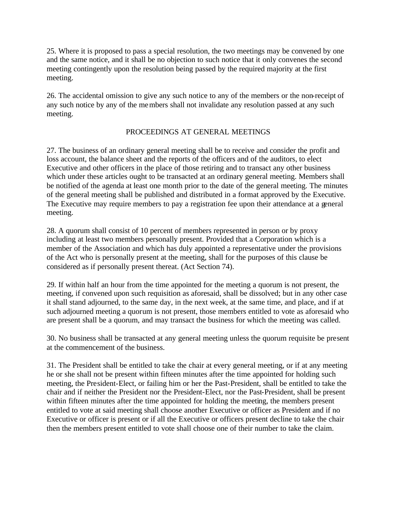25. Where it is proposed to pass a special resolution, the two meetings may be convened by one and the same notice, and it shall be no objection to such notice that it only convenes the second meeting contingently upon the resolution being passed by the required majority at the first meeting.

26. The accidental omission to give any such notice to any of the members or the non-receipt of any such notice by any of the members shall not invalidate any resolution passed at any such meeting.

### PROCEEDINGS AT GENERAL MEETINGS

27. The business of an ordinary general meeting shall be to receive and consider the profit and loss account, the balance sheet and the reports of the officers and of the auditors, to elect Executive and other officers in the place of those retiring and to transact any other business which under these articles ought to be transacted at an ordinary general meeting. Members shall be notified of the agenda at least one month prior to the date of the general meeting. The minutes of the general meeting shall be published and distributed in a format approved by the Executive. The Executive may require members to pay a registration fee upon their attendance at a general meeting.

28. A quorum shall consist of 10 percent of members represented in person or by proxy including at least two members personally present. Provided that a Corporation which is a member of the Association and which has duly appointed a representative under the provisions of the Act who is personally present at the meeting, shall for the purposes of this clause be considered as if personally present thereat. (Act Section 74).

29. If within half an hour from the time appointed for the meeting a quorum is not present, the meeting, if convened upon such requisition as aforesaid, shall be dissolved; but in any other case it shall stand adjourned, to the same day, in the next week, at the same time, and place, and if at such adjourned meeting a quorum is not present, those members entitled to vote as aforesaid who are present shall be a quorum, and may transact the business for which the meeting was called.

30. No business shall be transacted at any general meeting unless the quorum requisite be present at the commencement of the business.

31. The President shall be entitled to take the chair at every general meeting, or if at any meeting he or she shall not be present within fifteen minutes after the time appointed for holding such meeting, the President-Elect, or failing him or her the Past-President, shall be entitled to take the chair and if neither the President nor the President-Elect, nor the Past-President, shall be present within fifteen minutes after the time appointed for holding the meeting, the members present entitled to vote at said meeting shall choose another Executive or officer as President and if no Executive or officer is present or if all the Executive or officers present decline to take the chair then the members present entitled to vote shall choose one of their number to take the claim.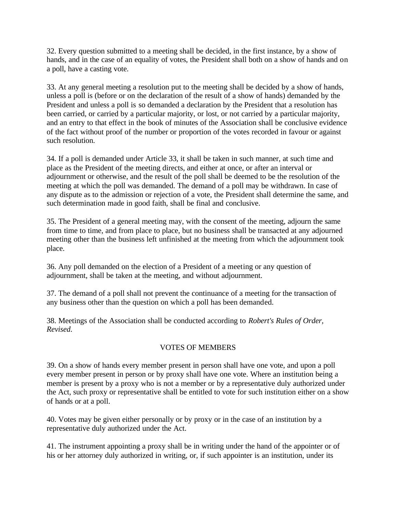32. Every question submitted to a meeting shall be decided, in the first instance, by a show of hands, and in the case of an equality of votes, the President shall both on a show of hands and on a poll, have a casting vote.

33. At any general meeting a resolution put to the meeting shall be decided by a show of hands, unless a poll is (before or on the declaration of the result of a show of hands) demanded by the President and unless a poll is so demanded a declaration by the President that a resolution has been carried, or carried by a particular majority, or lost, or not carried by a particular majority, and an entry to that effect in the book of minutes of the Association shall be conclusive evidence of the fact without proof of the number or proportion of the votes recorded in favour or against such resolution.

34. If a poll is demanded under Article 33, it shall be taken in such manner, at such time and place as the President of the meeting directs, and either at once, or after an interval or adjournment or otherwise, and the result of the poll shall be deemed to be the resolution of the meeting at which the poll was demanded. The demand of a poll may be withdrawn. In case of any dispute as to the admission or rejection of a vote, the President shall determine the same, and such determination made in good faith, shall be final and conclusive.

35. The President of a general meeting may, with the consent of the meeting, adjourn the same from time to time, and from place to place, but no business shall be transacted at any adjourned meeting other than the business left unfinished at the meeting from which the adjournment took place.

36. Any poll demanded on the election of a President of a meeting or any question of adjournment, shall be taken at the meeting, and without adjournment.

37. The demand of a poll shall not prevent the continuance of a meeting for the transaction of any business other than the question on which a poll has been demanded.

38. Meetings of the Association shall be conducted according to *Robert's Rules of Order, Revised*.

# VOTES OF MEMBERS

39. On a show of hands every member present in person shall have one vote, and upon a poll every member present in person or by proxy shall have one vote. Where an institution being a member is present by a proxy who is not a member or by a representative duly authorized under the Act, such proxy or representative shall be entitled to vote for such institution either on a show of hands or at a poll.

40. Votes may be given either personally or by proxy or in the case of an institution by a representative duly authorized under the Act.

41. The instrument appointing a proxy shall be in writing under the hand of the appointer or of his or her attorney duly authorized in writing, or, if such appointer is an institution, under its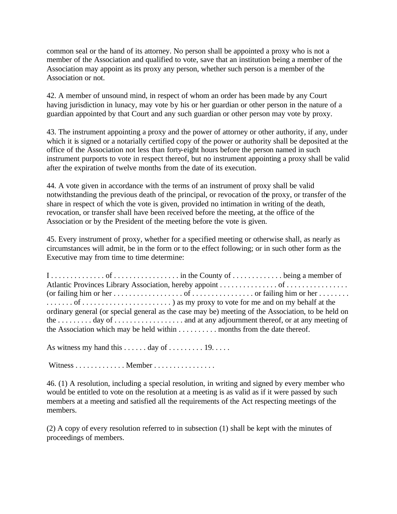common seal or the hand of its attorney. No person shall be appointed a proxy who is not a member of the Association and qualified to vote, save that an institution being a member of the Association may appoint as its proxy any person, whether such person is a member of the Association or not.

42. A member of unsound mind, in respect of whom an order has been made by any Court having jurisdiction in lunacy, may vote by his or her guardian or other person in the nature of a guardian appointed by that Court and any such guardian or other person may vote by proxy.

43. The instrument appointing a proxy and the power of attorney or other authority, if any, under which it is signed or a notarially certified copy of the power or authority shall be deposited at the office of the Association not less than forty-eight hours before the person named in such instrument purports to vote in respect thereof, but no instrument appointing a proxy shall be valid after the expiration of twelve months from the date of its execution.

44. A vote given in accordance with the terms of an instrument of proxy shall be valid notwithstanding the previous death of the principal, or revocation of the proxy, or transfer of the share in respect of which the vote is given, provided no intimation in writing of the death, revocation, or transfer shall have been received before the meeting, at the office of the Association or by the President of the meeting before the vote is given.

45. Every instrument of proxy, whether for a specified meeting or otherwise shall, as nearly as circumstances will admit, be in the form or to the effect following; or in such other form as the Executive may from time to time determine:

| $1, \ldots, \ldots, 0$ of $\ldots, \ldots, \ldots$ in the County of $\ldots, \ldots, \ldots$ being a member of |  |
|----------------------------------------------------------------------------------------------------------------|--|
|                                                                                                                |  |
|                                                                                                                |  |
|                                                                                                                |  |
| ordinary general (or special general as the case may be) meeting of the Association, to be held on             |  |
|                                                                                                                |  |
| the Association which may be held within $\dots \dots \dots$ months from the date thereof.                     |  |

As witness my hand this  $\dots \dots$  day of  $\dots \dots$  . 19. . . . .

Witness . . . . . . . . . . . . . Member . . . . . . . . . . . . . . . .

46. (1) A resolution, including a special resolution, in writing and signed by every member who would be entitled to vote on the resolution at a meeting is as valid as if it were passed by such members at a meeting and satisfied all the requirements of the Act respecting meetings of the members.

(2) A copy of every resolution referred to in subsection (1) shall be kept with the minutes of proceedings of members.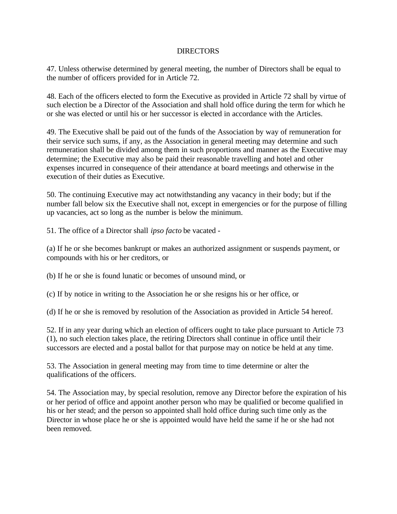#### DIRECTORS

47. Unless otherwise determined by general meeting, the number of Directors shall be equal to the number of officers provided for in Article 72.

48. Each of the officers elected to form the Executive as provided in Article 72 shall by virtue of such election be a Director of the Association and shall hold office during the term for which he or she was elected or until his or her successor is elected in accordance with the Articles.

49. The Executive shall be paid out of the funds of the Association by way of remuneration for their service such sums, if any, as the Association in general meeting may determine and such remuneration shall be divided among them in such proportions and manner as the Executive may determine; the Executive may also be paid their reasonable travelling and hotel and other expenses incurred in consequence of their attendance at board meetings and otherwise in the execution of their duties as Executive.

50. The continuing Executive may act notwithstanding any vacancy in their body; but if the number fall below six the Executive shall not, except in emergencies or for the purpose of filling up vacancies, act so long as the number is below the minimum.

51. The office of a Director shall *ipso facto* be vacated -

(a) If he or she becomes bankrupt or makes an authorized assignment or suspends payment, or compounds with his or her creditors, or

(b) If he or she is found lunatic or becomes of unsound mind, or

(c) If by notice in writing to the Association he or she resigns his or her office, or

(d) If he or she is removed by resolution of the Association as provided in Article 54 hereof.

52. If in any year during which an election of officers ought to take place pursuant to Article 73 (1), no such election takes place, the retiring Directors shall continue in office until their successors are elected and a postal ballot for that purpose may on notice be held at any time.

53. The Association in general meeting may from time to time determine or alter the qualifications of the officers.

54. The Association may, by special resolution, remove any Director before the expiration of his or her period of office and appoint another person who may be qualified or become qualified in his or her stead; and the person so appointed shall hold office during such time only as the Director in whose place he or she is appointed would have held the same if he or she had not been removed.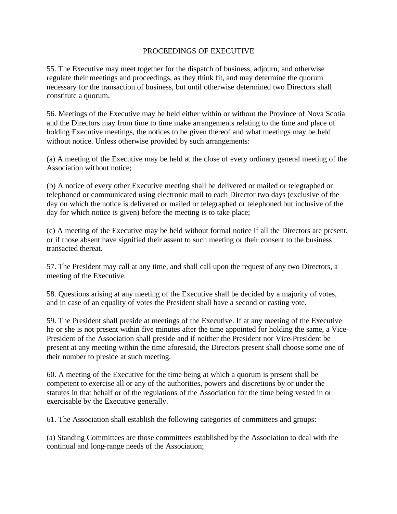### PROCEEDINGS OF EXECUTIVE

55. The Executive may meet together for the dispatch of business, adjourn, and otherwise regulate their meetings and proceedings, as they think fit, and may determine the quorum necessary for the transaction of business, but until otherwise determined two Directors shall constitute a quorum.

56. Meetings of the Executive may be held either within or without the Province of Nova Scotia and the Directors may from time to time make arrangements relating to the time and place of holding Executive meetings, the notices to be given thereof and what meetings may be held without notice. Unless otherwise provided by such arrangements:

(a) A meeting of the Executive may be held at the close of every ordinary general meeting of the Association without notice;

(b) A notice of every other Executive meeting shall be delivered or mailed or telegraphed or telephoned or communicated using electronic mail to each Director two days (exclusive of the day on which the notice is delivered or mailed or telegraphed or telephoned but inclusive of the day for which notice is given) before the meeting is to take place;

(c) A meeting of the Executive may be held without formal notice if all the Directors are present, or if those absent have signified their assent to such meeting or their consent to the business transacted thereat.

57. The President may call at any time, and shall call upon the request of any two Directors, a meeting of the Executive.

58. Questions arising at any meeting of the Executive shall be decided by a majority of votes, and in case of an equality of votes the President shall have a second or casting vote.

59. The President shall preside at meetings of the Executive. If at any meeting of the Executive he or she is not present within five minutes after the time appointed for holding the same, a Vice-President of the Association shall preside and if neither the President nor Vice-President be present at any meeting within the time aforesaid, the Directors present shall choose some one of their number to preside at such meeting.

60. A meeting of the Executive for the time being at which a quorum is present shall be competent to exercise all or any of the authorities, powers and discretions by or under the statutes in that behalf or of the regulations of the Association for the time being vested in or exercisable by the Executive generally.

61. The Association shall establish the following categories of committees and groups:

(a) Standing Committees are those committees established by the Association to deal with the continual and long-range needs of the Association;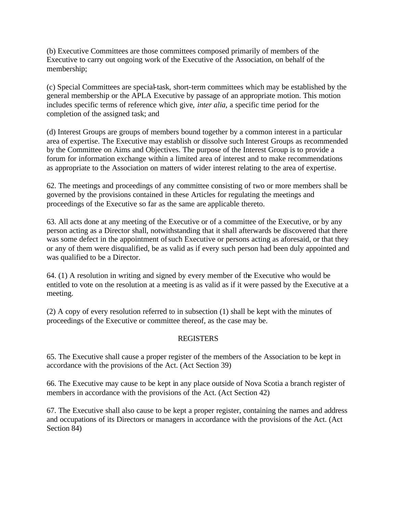(b) Executive Committees are those committees composed primarily of members of the Executive to carry out ongoing work of the Executive of the Association, on behalf of the membership;

(c) Special Committees are special-task, short-term committees which may be established by the general membership or the APLA Executive by passage of an appropriate motion. This motion includes specific terms of reference which give, *inter alia*, a specific time period for the completion of the assigned task; and

(d) Interest Groups are groups of members bound together by a common interest in a particular area of expertise. The Executive may establish or dissolve such Interest Groups as recommended by the Committee on Aims and Objectives. The purpose of the Interest Group is to provide a forum for information exchange within a limited area of interest and to make recommendations as appropriate to the Association on matters of wider interest relating to the area of expertise.

62. The meetings and proceedings of any committee consisting of two or more members shall be governed by the provisions contained in these Articles for regulating the meetings and proceedings of the Executive so far as the same are applicable thereto.

63. All acts done at any meeting of the Executive or of a committee of the Executive, or by any person acting as a Director shall, notwithstanding that it shall afterwards be discovered that there was some defect in the appointment of such Executive or persons acting as aforesaid, or that they or any of them were disqualified, be as valid as if every such person had been duly appointed and was qualified to be a Director.

64. (1) A resolution in writing and signed by every member of the Executive who would be entitled to vote on the resolution at a meeting is as valid as if it were passed by the Executive at a meeting.

(2) A copy of every resolution referred to in subsection (1) shall be kept with the minutes of proceedings of the Executive or committee thereof, as the case may be.

## REGISTERS

65. The Executive shall cause a proper register of the members of the Association to be kept in accordance with the provisions of the Act. (Act Section 39)

66. The Executive may cause to be kept in any place outside of Nova Scotia a branch register of members in accordance with the provisions of the Act. (Act Section 42)

67. The Executive shall also cause to be kept a proper register, containing the names and address and occupations of its Directors or managers in accordance with the provisions of the Act. (Act Section 84)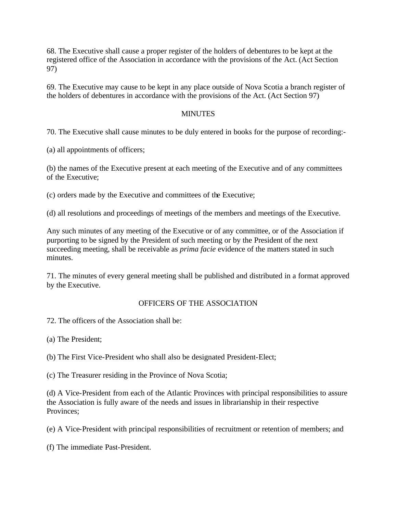68. The Executive shall cause a proper register of the holders of debentures to be kept at the registered office of the Association in accordance with the provisions of the Act. (Act Section 97)

69. The Executive may cause to be kept in any place outside of Nova Scotia a branch register of the holders of debentures in accordance with the provisions of the Act. (Act Section 97)

### **MINUTES**

70. The Executive shall cause minutes to be duly entered in books for the purpose of recording:-

(a) all appointments of officers;

(b) the names of the Executive present at each meeting of the Executive and of any committees of the Executive;

(c) orders made by the Executive and committees of the Executive;

(d) all resolutions and proceedings of meetings of the members and meetings of the Executive.

Any such minutes of any meeting of the Executive or of any committee, or of the Association if purporting to be signed by the President of such meeting or by the President of the next succeeding meeting, shall be receivable as *prima facie* evidence of the matters stated in such minutes.

71. The minutes of every general meeting shall be published and distributed in a format approved by the Executive.

### OFFICERS OF THE ASSOCIATION

72. The officers of the Association shall be:

(a) The President;

(b) The First Vice-President who shall also be designated President-Elect;

(c) The Treasurer residing in the Province of Nova Scotia;

(d) A Vice-President from each of the Atlantic Provinces with principal responsibilities to assure the Association is fully aware of the needs and issues in librarianship in their respective Provinces;

(e) A Vice-President with principal responsibilities of recruitment or retention of members; and

(f) The immediate Past-President.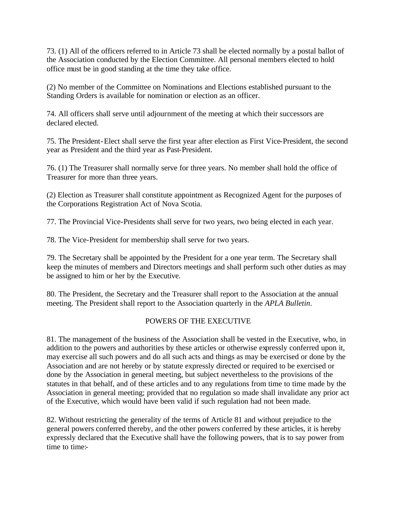73. (1) All of the officers referred to in Article 73 shall be elected normally by a postal ballot of the Association conducted by the Election Committee. All personal members elected to hold office must be in good standing at the time they take office.

(2) No member of the Committee on Nominations and Elections established pursuant to the Standing Orders is available for nomination or election as an officer.

74. All officers shall serve until adjournment of the meeting at which their successors are declared elected.

75. The President-Elect shall serve the first year after election as First Vice-President, the second year as President and the third year as Past-President.

76. (1) The Treasurer shall normally serve for three years. No member shall hold the office of Treasurer for more than three years.

(2) Election as Treasurer shall constitute appointment as Recognized Agent for the purposes of the Corporations Registration Act of Nova Scotia.

77. The Provincial Vice-Presidents shall serve for two years, two being elected in each year.

78. The Vice-President for membership shall serve for two years.

79. The Secretary shall be appointed by the President for a one year term. The Secretary shall keep the minutes of members and Directors meetings and shall perform such other duties as may be assigned to him or her by the Executive.

80. The President, the Secretary and the Treasurer shall report to the Association at the annual meeting. The President shall report to the Association quarterly in the *APLA Bulletin*.

# POWERS OF THE EXECUTIVE

81. The management of the business of the Association shall be vested in the Executive, who, in addition to the powers and authorities by these articles or otherwise expressly conferred upon it, may exercise all such powers and do all such acts and things as may be exercised or done by the Association and are not hereby or by statute expressly directed or required to be exercised or done by the Association in general meeting, but subject nevertheless to the provisions of the statutes in that behalf, and of these articles and to any regulations from time to time made by the Association in general meeting; provided that no regulation so made shall invalidate any prior act of the Executive, which would have been valid if such regulation had not been made.

82. Without restricting the generality of the terms of Article 81 and without prejudice to the general powers conferred thereby, and the other powers conferred by these articles, it is hereby expressly declared that the Executive shall have the following powers, that is to say power from time to time:-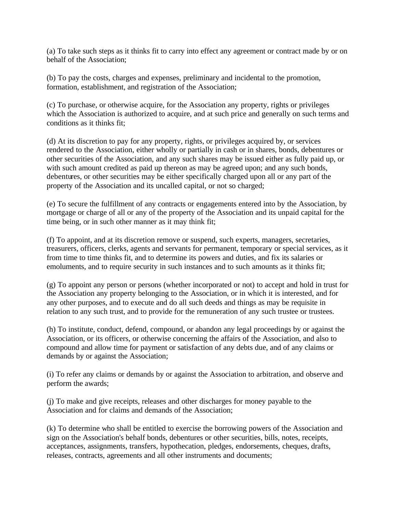(a) To take such steps as it thinks fit to carry into effect any agreement or contract made by or on behalf of the Association;

(b) To pay the costs, charges and expenses, preliminary and incidental to the promotion, formation, establishment, and registration of the Association;

(c) To purchase, or otherwise acquire, for the Association any property, rights or privileges which the Association is authorized to acquire, and at such price and generally on such terms and conditions as it thinks fit;

(d) At its discretion to pay for any property, rights, or privileges acquired by, or services rendered to the Association, either wholly or partially in cash or in shares, bonds, debentures or other securities of the Association, and any such shares may be issued either as fully paid up, or with such amount credited as paid up thereon as may be agreed upon; and any such bonds, debentures, or other securities may be either specifically charged upon all or any part of the property of the Association and its uncalled capital, or not so charged;

(e) To secure the fulfillment of any contracts or engagements entered into by the Association, by mortgage or charge of all or any of the property of the Association and its unpaid capital for the time being, or in such other manner as it may think fit;

(f) To appoint, and at its discretion remove or suspend, such experts, managers, secretaries, treasurers, officers, clerks, agents and servants for permanent, temporary or special services, as it from time to time thinks fit, and to determine its powers and duties, and fix its salaries or emoluments, and to require security in such instances and to such amounts as it thinks fit;

(g) To appoint any person or persons (whether incorporated or not) to accept and hold in trust for the Association any property belonging to the Association, or in which it is interested, and for any other purposes, and to execute and do all such deeds and things as may be requisite in relation to any such trust, and to provide for the remuneration of any such trustee or trustees.

(h) To institute, conduct, defend, compound, or abandon any legal proceedings by or against the Association, or its officers, or otherwise concerning the affairs of the Association, and also to compound and allow time for payment or satisfaction of any debts due, and of any claims or demands by or against the Association;

(i) To refer any claims or demands by or against the Association to arbitration, and observe and perform the awards;

(j) To make and give receipts, releases and other discharges for money payable to the Association and for claims and demands of the Association;

(k) To determine who shall be entitled to exercise the borrowing powers of the Association and sign on the Association's behalf bonds, debentures or other securities, bills, notes, receipts, acceptances, assignments, transfers, hypothecation, pledges, endorsements, cheques, drafts, releases, contracts, agreements and all other instruments and documents;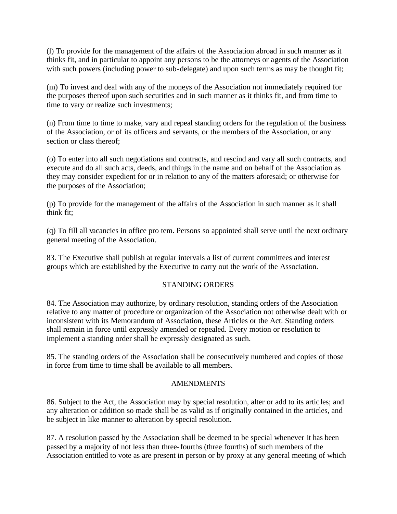(l) To provide for the management of the affairs of the Association abroad in such manner as it thinks fit, and in particular to appoint any persons to be the attorneys or agents of the Association with such powers (including power to sub-delegate) and upon such terms as may be thought fit;

(m) To invest and deal with any of the moneys of the Association not immediately required for the purposes thereof upon such securities and in such manner as it thinks fit, and from time to time to vary or realize such investments;

(n) From time to time to make, vary and repeal standing orders for the regulation of the business of the Association, or of its officers and servants, or the members of the Association, or any section or class thereof;

(o) To enter into all such negotiations and contracts, and rescind and vary all such contracts, and execute and do all such acts, deeds, and things in the name and on behalf of the Association as they may consider expedient for or in relation to any of the matters aforesaid; or otherwise for the purposes of the Association;

(p) To provide for the management of the affairs of the Association in such manner as it shall think fit;

(q) To fill all vacancies in office pro tem. Persons so appointed shall serve until the next ordinary general meeting of the Association.

83. The Executive shall publish at regular intervals a list of current committees and interest groups which are established by the Executive to carry out the work of the Association.

## STANDING ORDERS

84. The Association may authorize, by ordinary resolution, standing orders of the Association relative to any matter of procedure or organization of the Association not otherwise dealt with or inconsistent with its Memorandum of Association, these Articles or the Act. Standing orders shall remain in force until expressly amended or repealed. Every motion or resolution to implement a standing order shall be expressly designated as such.

85. The standing orders of the Association shall be consecutively numbered and copies of those in force from time to time shall be available to all members.

### AMENDMENTS

86. Subject to the Act, the Association may by special resolution, alter or add to its artic les; and any alteration or addition so made shall be as valid as if originally contained in the articles, and be subject in like manner to alteration by special resolution.

87. A resolution passed by the Association shall be deemed to be special whenever it has been passed by a majority of not less than three-fourths (three fourths) of such members of the Association entitled to vote as are present in person or by proxy at any general meeting of which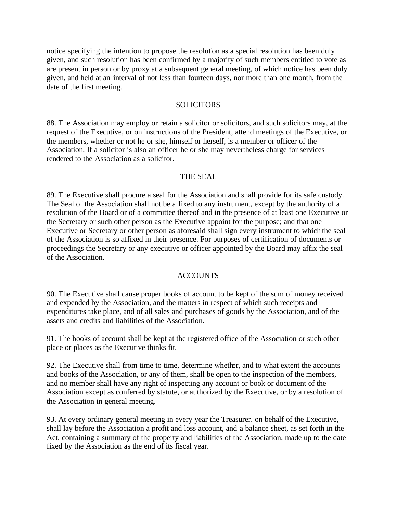notice specifying the intention to propose the resolution as a special resolution has been duly given, and such resolution has been confirmed by a majority of such members entitled to vote as are present in person or by proxy at a subsequent general meeting, of which notice has been duly given, and held at an interval of not less than fourteen days, nor more than one month, from the date of the first meeting.

#### SOLICITORS

88. The Association may employ or retain a solicitor or solicitors, and such solicitors may, at the request of the Executive, or on instructions of the President, attend meetings of the Executive, or the members, whether or not he or she, himself or herself, is a member or officer of the Association. If a solicitor is also an officer he or she may nevertheless charge for services rendered to the Association as a solicitor.

### THE SEAL

89. The Executive shall procure a seal for the Association and shall provide for its safe custody. The Seal of the Association shall not be affixed to any instrument, except by the authority of a resolution of the Board or of a committee thereof and in the presence of at least one Executive or the Secretary or such other person as the Executive appoint for the purpose; and that one Executive or Secretary or other person as aforesaid shall sign every instrument to which the seal of the Association is so affixed in their presence. For purposes of certification of documents or proceedings the Secretary or any executive or officer appointed by the Board may affix the seal of the Association.

### ACCOUNTS

90. The Executive shall cause proper books of account to be kept of the sum of money received and expended by the Association, and the matters in respect of which such receipts and expenditures take place, and of all sales and purchases of goods by the Association, and of the assets and credits and liabilities of the Association.

91. The books of account shall be kept at the registered office of the Association or such other place or places as the Executive thinks fit.

92. The Executive shall from time to time, determine whether, and to what extent the accounts and books of the Association, or any of them, shall be open to the inspection of the members, and no member shall have any right of inspecting any account or book or document of the Association except as conferred by statute, or authorized by the Executive, or by a resolution of the Association in general meeting.

93. At every ordinary general meeting in every year the Treasurer, on behalf of the Executive, shall lay before the Association a profit and loss account, and a balance sheet, as set forth in the Act, containing a summary of the property and liabilities of the Association, made up to the date fixed by the Association as the end of its fiscal year.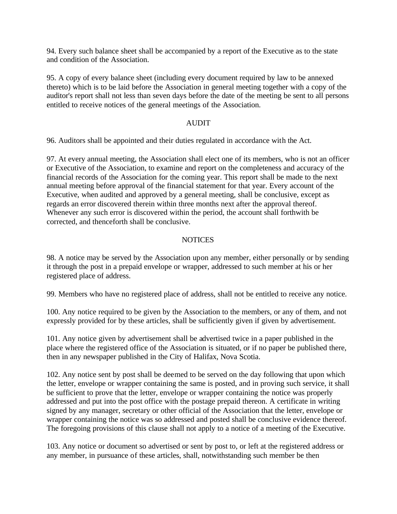94. Every such balance sheet shall be accompanied by a report of the Executive as to the state and condition of the Association.

95. A copy of every balance sheet (including every document required by law to be annexed thereto) which is to be laid before the Association in general meeting together with a copy of the auditor's report shall not less than seven days before the date of the meeting be sent to all persons entitled to receive notices of the general meetings of the Association.

### AUDIT

96. Auditors shall be appointed and their duties regulated in accordance with the Act.

97. At every annual meeting, the Association shall elect one of its members, who is not an officer or Executive of the Association, to examine and report on the completeness and accuracy of the financial records of the Association for the coming year. This report shall be made to the next annual meeting before approval of the financial statement for that year. Every account of the Executive, when audited and approved by a general meeting, shall be conclusive, except as regards an error discovered therein within three months next after the approval thereof. Whenever any such error is discovered within the period, the account shall forthwith be corrected, and thenceforth shall be conclusive.

### **NOTICES**

98. A notice may be served by the Association upon any member, either personally or by sending it through the post in a prepaid envelope or wrapper, addressed to such member at his or her registered place of address.

99. Members who have no registered place of address, shall not be entitled to receive any notice.

100. Any notice required to be given by the Association to the members, or any of them, and not expressly provided for by these articles, shall be sufficiently given if given by advertisement.

101. Any notice given by advertisement shall be advertised twice in a paper published in the place where the registered office of the Association is situated, or if no paper be published there, then in any newspaper published in the City of Halifax, Nova Scotia.

102. Any notice sent by post shall be deemed to be served on the day following that upon which the letter, envelope or wrapper containing the same is posted, and in proving such service, it shall be sufficient to prove that the letter, envelope or wrapper containing the notice was properly addressed and put into the post office with the postage prepaid thereon. A certificate in writing signed by any manager, secretary or other official of the Association that the letter, envelope or wrapper containing the notice was so addressed and posted shall be conclusive evidence thereof. The foregoing provisions of this clause shall not apply to a notice of a meeting of the Executive.

103. Any notice or document so advertised or sent by post to, or left at the registered address or any member, in pursuance of these articles, shall, notwithstanding such member be then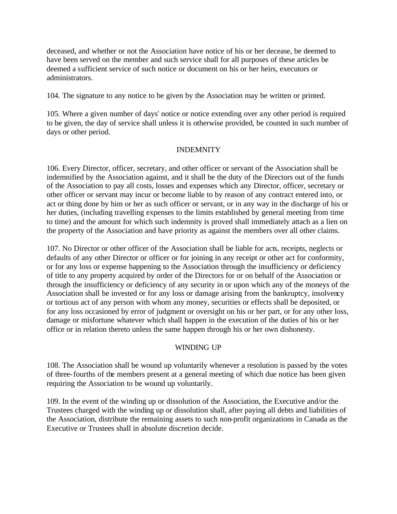deceased, and whether or not the Association have notice of his or her decease, be deemed to have been served on the member and such service shall for all purposes of these articles be deemed a sufficient service of such notice or document on his or her heirs, executors or administrators.

104. The signature to any notice to be given by the Association may be written or printed.

105. Where a given number of days' notice or notice extending over any other period is required to be given, the day of service shall unless it is otherwise provided, be counted in such number of days or other period.

### INDEMNITY

106. Every Director, officer, secretary, and other officer or servant of the Association shall be indemnified by the Association against, and it shall be the duty of the Directors out of the funds of the Association to pay all costs, losses and expenses which any Director, officer, secretary or other officer or servant may incur or become liable to by reason of any contract entered into, or act or thing done by him or her as such officer or servant, or in any way in the discharge of his or her duties, (including travelling expenses to the limits established by general meeting from time to time) and the amount for which such indemnity is proved shall immediately attach as a lien on the property of the Association and have priority as against the members over all other claims.

107. No Director or other officer of the Association shall be liable for acts, receipts, neglects or defaults of any other Director or officer or for joining in any receipt or other act for conformity, or for any loss or expense happening to the Association through the insufficiency or deficiency of title to any property acquired by order of the Directors for or on behalf of the Association or through the insufficiency or deficiency of any security in or upon which any of the moneys of the Association shall be invested or for any loss or damage arising from the bankruptcy, insolvency or tortious act of any person with whom any money, securities or effects shall be deposited, or for any loss occasioned by error of judgment or oversight on his or her part, or for any other loss, damage or misfortune whatever which shall happen in the execution of the duties of his or her office or in relation thereto unless the same happen through his or her own dishonesty.

### WINDING UP

108. The Association shall be wound up voluntarily whenever a resolution is passed by the votes of three-fourths of the members present at a general meeting of which due notice has been given requiring the Association to be wound up voluntarily.

109. In the event of the winding up or dissolution of the Association, the Executive and/or the Trustees charged with the winding up or dissolution shall, after paying all debts and liabilities of the Association, distribute the remaining assets to such non-profit organizations in Canada as the Executive or Trustees shall in absolute discretion decide.